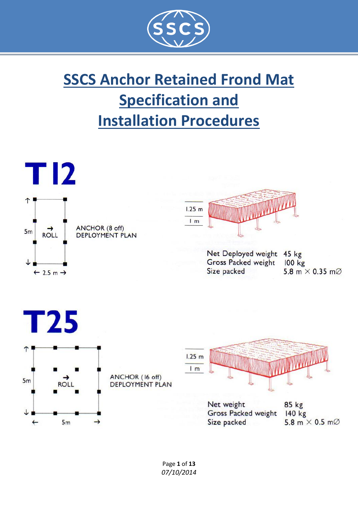

# **SSCS Anchor Retained Frond Mat Specification and Installation Procedures**

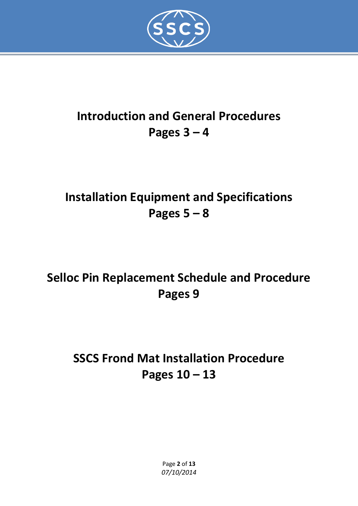

## **Introduction and General Procedures Pages 3 – 4**

## **Installation Equipment and Specifications Pages 5 – 8**

## **Selloc Pin Replacement Schedule and Procedure Pages 9**

## **SSCS Frond Mat Installation Procedure Pages 10 – 13**

Page **2** of **13** *07/10/2014*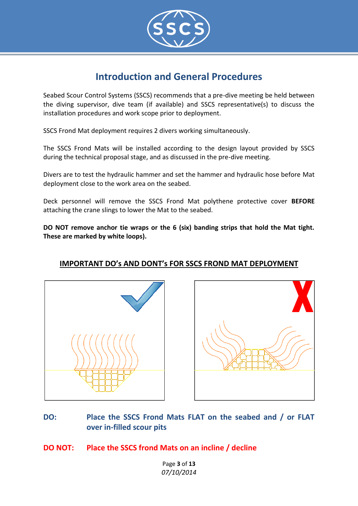

## **Introduction and General Procedures**

Seabed Scour Control Systems (SSCS) recommends that a pre-dive meeting be held between the diving supervisor, dive team (if available) and SSCS representative(s) to discuss the installation procedures and work scope prior to deployment.

SSCS Frond Mat deployment requires 2 divers working simultaneously.

The SSCS Frond Mats will be installed according to the design layout provided by SSCS during the technical proposal stage, and as discussed in the pre-dive meeting.

Divers are to test the hydraulic hammer and set the hammer and hydraulic hose before Mat deployment close to the work area on the seabed.

Deck personnel will remove the SSCS Frond Mat polythene protective cover **BEFORE** attaching the crane slings to lower the Mat to the seabed.

**DO NOT remove anchor tie wraps or the 6 (six) banding strips that hold the Mat tight. These are marked by white loops).**





- **DO: Place the SSCS Frond Mats FLAT on the seabed and / or FLAT over in-filled scour pits**
- **DO NOT: Place the SSCS frond Mats on an incline / decline**

Page **3** of **13** *07/10/2014*

### **IMPORTANT DO's AND DONT's FOR SSCS FROND MAT DEPLOYMENT**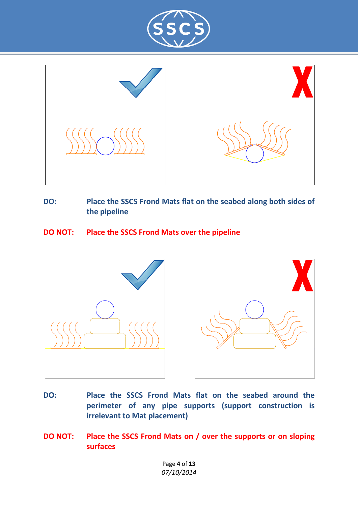





- **DO: Place the SSCS Frond Mats flat on the seabed along both sides of the pipeline**
- **DO NOT: Place the SSCS Frond Mats over the pipeline**





- **DO: Place the SSCS Frond Mats flat on the seabed around the perimeter of any pipe supports (support construction is irrelevant to Mat placement)**
- **DO NOT: Place the SSCS Frond Mats on / over the supports or on sloping surfaces**

Page **4** of **13** *07/10/2014*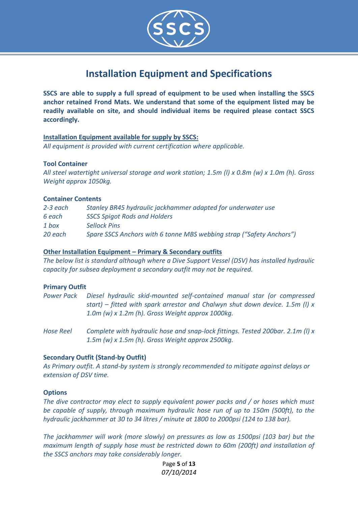

## **Installation Equipment and Specifications**

**SSCS are able to supply a full spread of equipment to be used when installing the SSCS anchor retained Frond Mats. We understand that some of the equipment listed may be readily available on site, and should individual items be required please contact SSCS accordingly.**

#### **Installation Equipment available for supply by SSCS:**

*All equipment is provided with current certification where applicable.*

#### **Tool Container**

*All steel watertight universal storage and work station; 1.5m (l) x 0.8m (w) x 1.0m (h). Gross Weight approx 1050kg.*

#### **Container Contents**

| $2 - 3$ each | Stanley BR45 hydraulic jackhammer adapted for underwater use         |
|--------------|----------------------------------------------------------------------|
| 6 each       | <b>SSCS Spigot Rods and Holders</b>                                  |
| 1 box        | <b>Sellock Pins</b>                                                  |
| 20 each      | Spare SSCS Anchors with 6 tonne MBS webbing strap ("Safety Anchors") |

#### **Other Installation Equipment – Primary & Secondary outfits**

*The below list is standard although where a Dive Support Vessel (DSV) has installed hydraulic capacity for subsea deployment a secondary outfit may not be required.*

#### **Primary Outfit**

- *Power Pack Diesel hydraulic skid-mounted self-contained manual star (or compressed start) – fitted with spark arrestor and Chalwyn shut down device. 1.5m (l) x 1.0m (w) x 1.2m (h). Gross Weight approx 1000kg.*
- *Hose Reel Complete with hydraulic hose and snap-lock fittings. Tested 200bar. 2.1m (l) x 1.5m (w) x 1.5m (h). Gross Weight approx 2500kg.*

#### **Secondary Outfit (Stand-by Outfit)**

*As Primary outfit. A stand-by system is strongly recommended to mitigate against delays or extension of DSV time.*

#### **Options**

*The dive contractor may elect to supply equivalent power packs and / or hoses which must be capable of supply, through maximum hydraulic hose run of up to 150m (500ft), to the hydraulic jackhammer at 30 to 34 litres / minute at 1800 to 2000psi (124 to 138 bar).*

*The jackhammer will work (more slowly) on pressures as low as 1500psi (103 bar) but the maximum length of supply hose must be restricted down to 60m (200ft) and installation of the SSCS anchors may take considerably longer.*

> Page **5** of **13** *07/10/2014*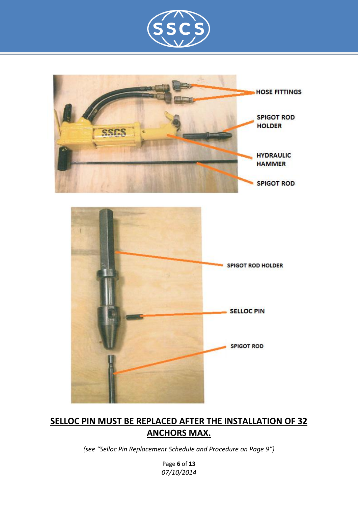





## **SELLOC PIN MUST BE REPLACED AFTER THE INSTALLATION OF 32 ANCHORS MAX.**

*(see "Selloc Pin Replacement Schedule and Procedure on Page 9")*

Page **6** of **13** *07/10/2014*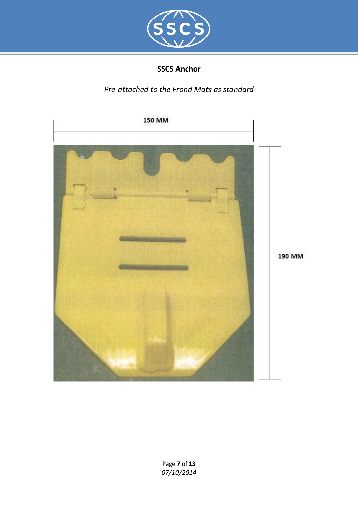

## **SSCS Anchor**

*Pre-attached to the Frond Mats as standard*

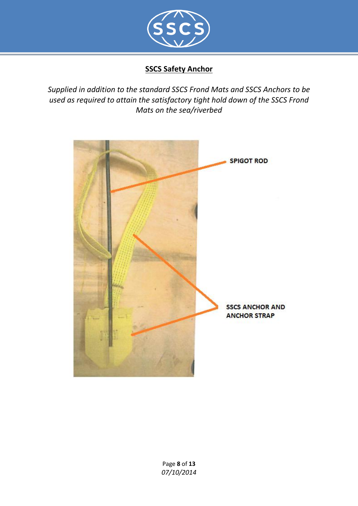

### **SSCS Safety Anchor**

*Supplied in addition to the standard SSCS Frond Mats and SSCS Anchors to be used as required to attain the satisfactory tight hold down of the SSCS Frond Mats on the sea/riverbed*

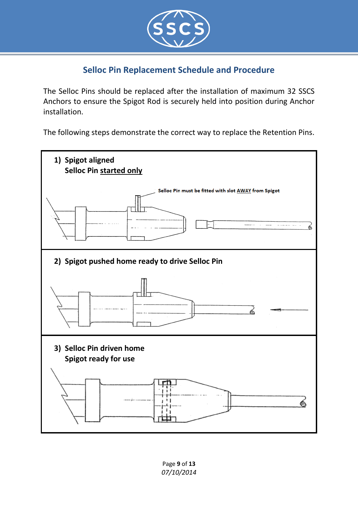

## **Selloc Pin Replacement Schedule and Procedure**

The Selloc Pins should be replaced after the installation of maximum 32 SSCS Anchors to ensure the Spigot Rod is securely held into position during Anchor installation.

The following steps demonstrate the correct way to replace the Retention Pins.



Page **9** of **13** *07/10/2014*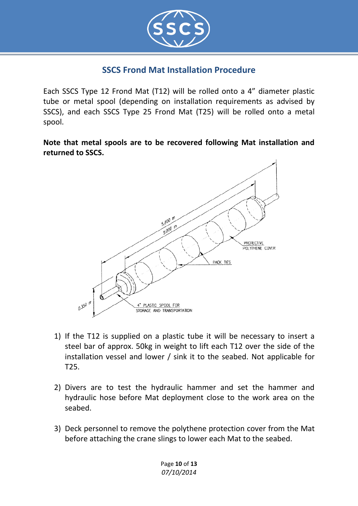

## **SSCS Frond Mat Installation Procedure**

Each SSCS Type 12 Frond Mat (T12) will be rolled onto a 4" diameter plastic tube or metal spool (depending on installation requirements as advised by SSCS), and each SSCS Type 25 Frond Mat (T25) will be rolled onto a metal spool.

**Note that metal spools are to be recovered following Mat installation and returned to SSCS.**



- 1) If the T12 is supplied on a plastic tube it will be necessary to insert a steel bar of approx. 50kg in weight to lift each T12 over the side of the installation vessel and lower / sink it to the seabed. Not applicable for T25.
- 2) Divers are to test the hydraulic hammer and set the hammer and hydraulic hose before Mat deployment close to the work area on the seabed.
- 3) Deck personnel to remove the polythene protection cover from the Mat before attaching the crane slings to lower each Mat to the seabed.

Page **10** of **13** *07/10/2014*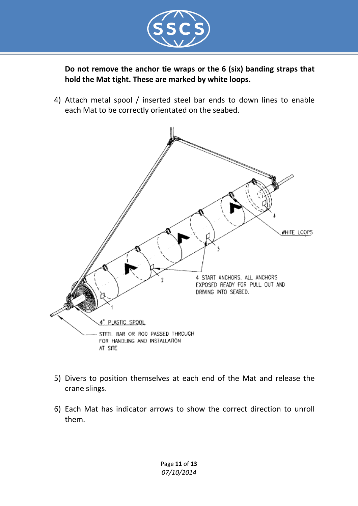

**Do not remove the anchor tie wraps or the 6 (six) banding straps that hold the Mat tight. These are marked by white loops.**

4) Attach metal spool / inserted steel bar ends to down lines to enable each Mat to be correctly orientated on the seabed.



- 5) Divers to position themselves at each end of the Mat and release the crane slings.
- 6) Each Mat has indicator arrows to show the correct direction to unroll them.

Page **11** of **13** *07/10/2014*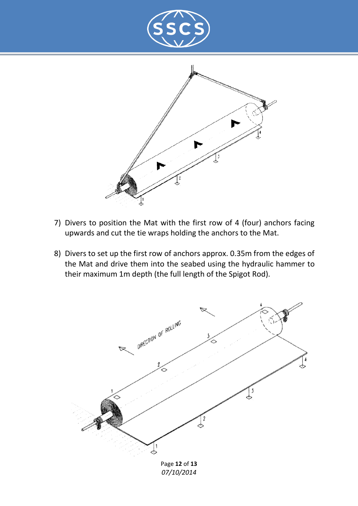



- 7) Divers to position the Mat with the first row of 4 (four) anchors facing upwards and cut the tie wraps holding the anchors to the Mat.
- 8) Divers to set up the first row of anchors approx. 0.35m from the edges of the Mat and drive them into the seabed using the hydraulic hammer to their maximum 1m depth (the full length of the Spigot Rod).